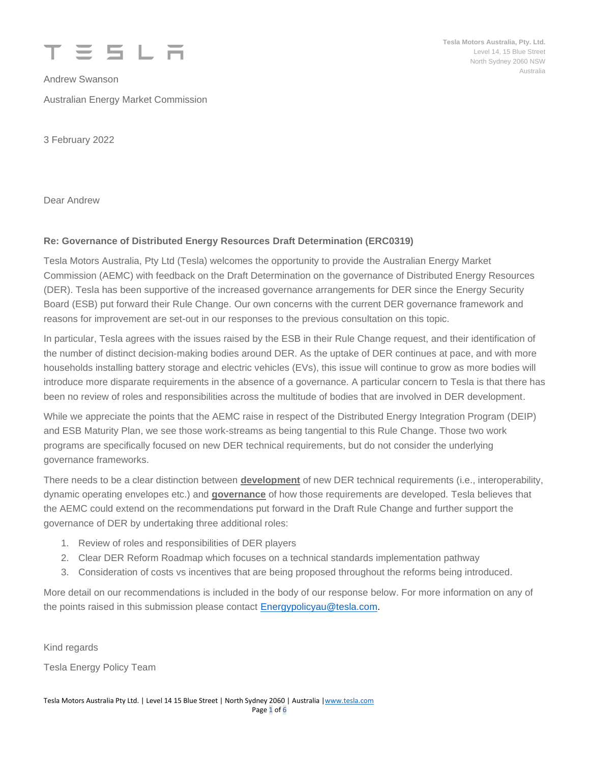

Andrew Swanson Australian Energy Market Commission **Tesla Motors Australia, Pty. Ltd.** Level 14, 15 Blue Street North Sydney 2060 NSW Australia

3 February 2022

Dear Andrew

## **Re: Governance of Distributed Energy Resources Draft Determination (ERC0319)**

Tesla Motors Australia, Pty Ltd (Tesla) welcomes the opportunity to provide the Australian Energy Market Commission (AEMC) with feedback on the Draft Determination on the governance of Distributed Energy Resources (DER). Tesla has been supportive of the increased governance arrangements for DER since the Energy Security Board (ESB) put forward their Rule Change. Our own concerns with the current DER governance framework and reasons for improvement are set-out in our responses to the previous consultation on this topic.

In particular, Tesla agrees with the issues raised by the ESB in their Rule Change request, and their identification of the number of distinct decision-making bodies around DER. As the uptake of DER continues at pace, and with more households installing battery storage and electric vehicles (EVs), this issue will continue to grow as more bodies will introduce more disparate requirements in the absence of a governance. A particular concern to Tesla is that there has been no review of roles and responsibilities across the multitude of bodies that are involved in DER development.

While we appreciate the points that the AEMC raise in respect of the Distributed Energy Integration Program (DEIP) and ESB Maturity Plan, we see those work-streams as being tangential to this Rule Change. Those two work programs are specifically focused on new DER technical requirements, but do not consider the underlying governance frameworks.

There needs to be a clear distinction between **development** of new DER technical requirements (i.e., interoperability, dynamic operating envelopes etc.) and **governance** of how those requirements are developed. Tesla believes that the AEMC could extend on the recommendations put forward in the Draft Rule Change and further support the governance of DER by undertaking three additional roles:

- 1. Review of roles and responsibilities of DER players
- 2. Clear DER Reform Roadmap which focuses on a technical standards implementation pathway
- 3. Consideration of costs vs incentives that are being proposed throughout the reforms being introduced.

More detail on our recommendations is included in the body of our response below. For more information on any of the points raised in this submission please contact **Energypolicyau@tesla.com**.

Kind regards

Tesla Energy Policy Team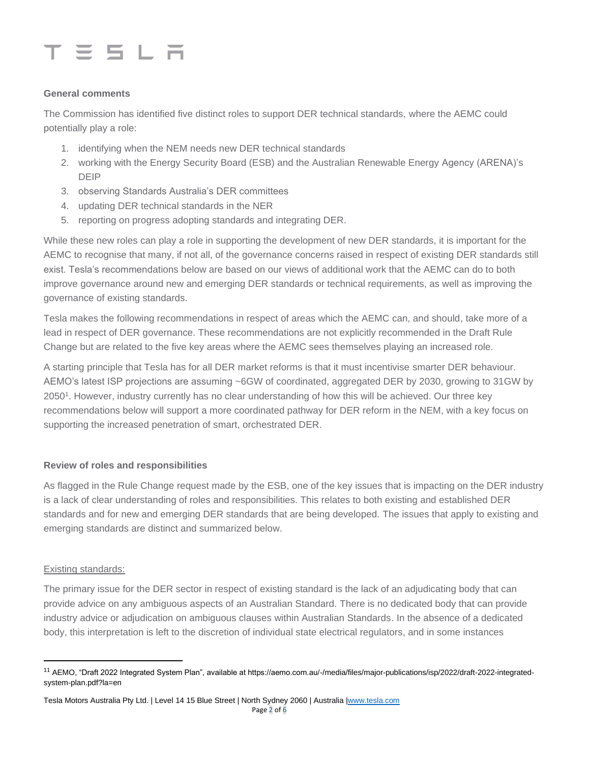

#### **General comments**

The Commission has identified five distinct roles to support DER technical standards, where the AEMC could potentially play a role:

- 1. identifying when the NEM needs new DER technical standards
- 2. working with the Energy Security Board (ESB) and the Australian Renewable Energy Agency (ARENA)'s DEIP
- 3. observing Standards Australia's DER committees
- 4. updating DER technical standards in the NER
- 5. reporting on progress adopting standards and integrating DER.

While these new roles can play a role in supporting the development of new DER standards, it is important for the AEMC to recognise that many, if not all, of the governance concerns raised in respect of existing DER standards still exist. Tesla's recommendations below are based on our views of additional work that the AEMC can do to both improve governance around new and emerging DER standards or technical requirements, as well as improving the governance of existing standards.

Tesla makes the following recommendations in respect of areas which the AEMC can, and should, take more of a lead in respect of DER governance. These recommendations are not explicitly recommended in the Draft Rule Change but are related to the five key areas where the AEMC sees themselves playing an increased role.

A starting principle that Tesla has for all DER market reforms is that it must incentivise smarter DER behaviour. AEMO's latest ISP projections are assuming ~6GW of coordinated, aggregated DER by 2030, growing to 31GW by 2050<sup>1</sup> . However, industry currently has no clear understanding of how this will be achieved. Our three key recommendations below will support a more coordinated pathway for DER reform in the NEM, with a key focus on supporting the increased penetration of smart, orchestrated DER.

### **Review of roles and responsibilities**

As flagged in the Rule Change request made by the ESB, one of the key issues that is impacting on the DER industry is a lack of clear understanding of roles and responsibilities. This relates to both existing and established DER standards and for new and emerging DER standards that are being developed. The issues that apply to existing and emerging standards are distinct and summarized below.

#### Existing standards:

The primary issue for the DER sector in respect of existing standard is the lack of an adjudicating body that can provide advice on any ambiguous aspects of an Australian Standard. There is no dedicated body that can provide industry advice or adjudication on ambiguous clauses within Australian Standards. In the absence of a dedicated body, this interpretation is left to the discretion of individual state electrical regulators, and in some instances

Tesla Motors Australia Pty Ltd. | Level 14 15 Blue Street | North Sydney 2060 | Australia [|www.tesla.com](http://www.tesla.com/) Page 2 of 6

<sup>&</sup>lt;sup>11</sup> AEMO, "Draft 2022 Integrated System Plan", available at https://aemo.com.au/-/media/files/major-publications/isp/2022/draft-2022-integratedsystem-plan.pdf?la=en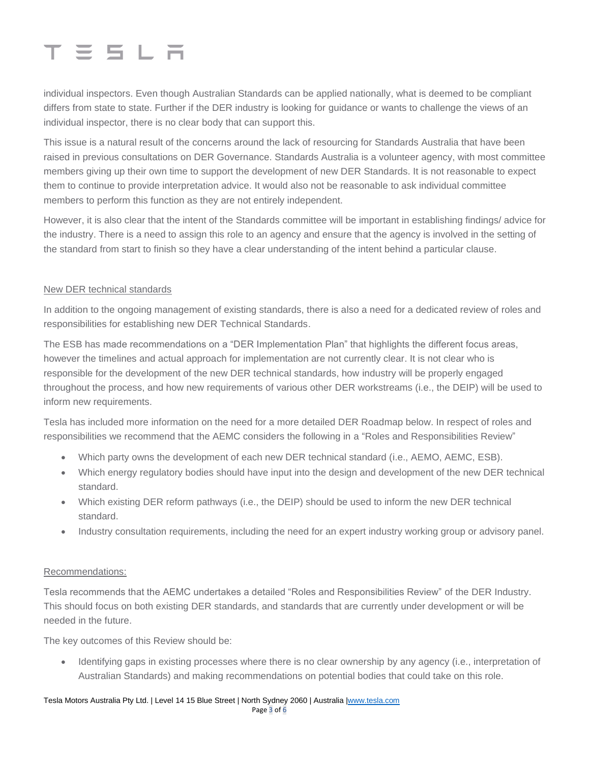# $T \equiv 5 L \bar{m}$

individual inspectors. Even though Australian Standards can be applied nationally, what is deemed to be compliant differs from state to state. Further if the DER industry is looking for guidance or wants to challenge the views of an individual inspector, there is no clear body that can support this.

This issue is a natural result of the concerns around the lack of resourcing for Standards Australia that have been raised in previous consultations on DER Governance. Standards Australia is a volunteer agency, with most committee members giving up their own time to support the development of new DER Standards. It is not reasonable to expect them to continue to provide interpretation advice. It would also not be reasonable to ask individual committee members to perform this function as they are not entirely independent.

However, it is also clear that the intent of the Standards committee will be important in establishing findings/ advice for the industry. There is a need to assign this role to an agency and ensure that the agency is involved in the setting of the standard from start to finish so they have a clear understanding of the intent behind a particular clause.

## New DER technical standards

In addition to the ongoing management of existing standards, there is also a need for a dedicated review of roles and responsibilities for establishing new DER Technical Standards.

The ESB has made recommendations on a "DER Implementation Plan" that highlights the different focus areas, however the timelines and actual approach for implementation are not currently clear. It is not clear who is responsible for the development of the new DER technical standards, how industry will be properly engaged throughout the process, and how new requirements of various other DER workstreams (i.e., the DEIP) will be used to inform new requirements.

Tesla has included more information on the need for a more detailed DER Roadmap below. In respect of roles and responsibilities we recommend that the AEMC considers the following in a "Roles and Responsibilities Review"

- Which party owns the development of each new DER technical standard (i.e., AEMO, AEMC, ESB).
- Which energy regulatory bodies should have input into the design and development of the new DER technical standard.
- Which existing DER reform pathways (i.e., the DEIP) should be used to inform the new DER technical standard.
- Industry consultation requirements, including the need for an expert industry working group or advisory panel.

### Recommendations:

Tesla recommends that the AEMC undertakes a detailed "Roles and Responsibilities Review" of the DER Industry. This should focus on both existing DER standards, and standards that are currently under development or will be needed in the future.

The key outcomes of this Review should be:

• Identifying gaps in existing processes where there is no clear ownership by any agency (i.e., interpretation of Australian Standards) and making recommendations on potential bodies that could take on this role.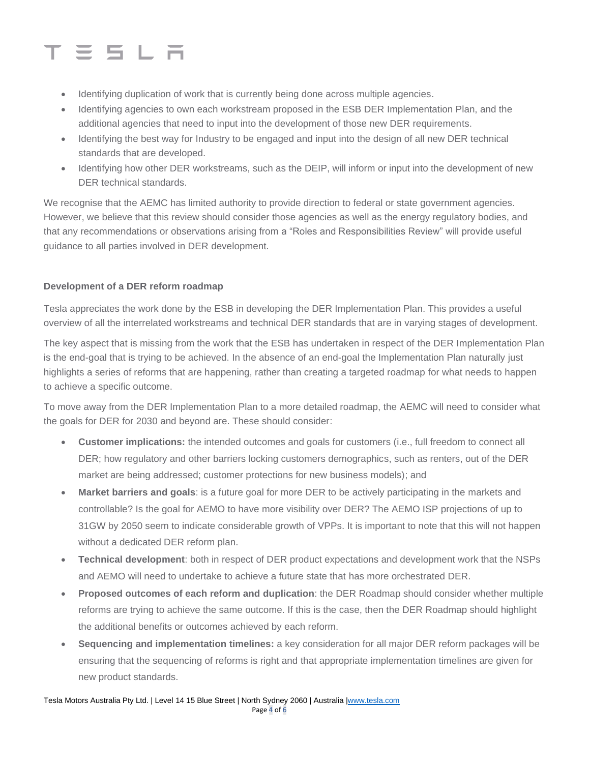# **SSLR**

- Identifying duplication of work that is currently being done across multiple agencies.
- Identifying agencies to own each workstream proposed in the ESB DER Implementation Plan, and the additional agencies that need to input into the development of those new DER requirements.
- Identifying the best way for Industry to be engaged and input into the design of all new DER technical standards that are developed.
- Identifying how other DER workstreams, such as the DEIP, will inform or input into the development of new DER technical standards.

We recognise that the AEMC has limited authority to provide direction to federal or state government agencies. However, we believe that this review should consider those agencies as well as the energy regulatory bodies, and that any recommendations or observations arising from a "Roles and Responsibilities Review" will provide useful guidance to all parties involved in DER development.

## **Development of a DER reform roadmap**

Tesla appreciates the work done by the ESB in developing the DER Implementation Plan. This provides a useful overview of all the interrelated workstreams and technical DER standards that are in varying stages of development.

The key aspect that is missing from the work that the ESB has undertaken in respect of the DER Implementation Plan is the end-goal that is trying to be achieved. In the absence of an end-goal the Implementation Plan naturally just highlights a series of reforms that are happening, rather than creating a targeted roadmap for what needs to happen to achieve a specific outcome.

To move away from the DER Implementation Plan to a more detailed roadmap, the AEMC will need to consider what the goals for DER for 2030 and beyond are. These should consider:

- **Customer implications:** the intended outcomes and goals for customers (i.e., full freedom to connect all DER; how regulatory and other barriers locking customers demographics, such as renters, out of the DER market are being addressed; customer protections for new business models); and
- **Market barriers and goals**: is a future goal for more DER to be actively participating in the markets and controllable? Is the goal for AEMO to have more visibility over DER? The AEMO ISP projections of up to 31GW by 2050 seem to indicate considerable growth of VPPs. It is important to note that this will not happen without a dedicated DER reform plan.
- **Technical development**: both in respect of DER product expectations and development work that the NSPs and AEMO will need to undertake to achieve a future state that has more orchestrated DER.
- **Proposed outcomes of each reform and duplication**: the DER Roadmap should consider whether multiple reforms are trying to achieve the same outcome. If this is the case, then the DER Roadmap should highlight the additional benefits or outcomes achieved by each reform.
- **Sequencing and implementation timelines:** a key consideration for all major DER reform packages will be ensuring that the sequencing of reforms is right and that appropriate implementation timelines are given for new product standards.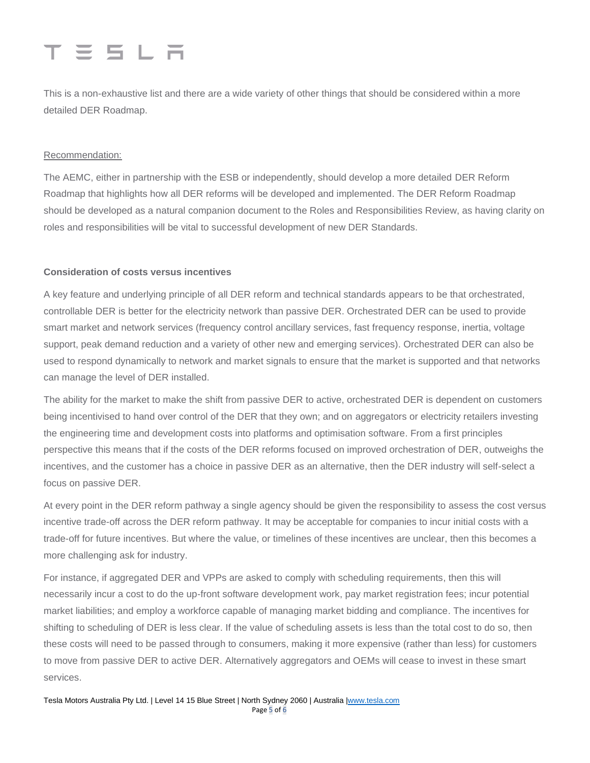# $T \equiv 5 \perp F$

This is a non-exhaustive list and there are a wide variety of other things that should be considered within a more detailed DER Roadmap.

### Recommendation:

The AEMC, either in partnership with the ESB or independently, should develop a more detailed DER Reform Roadmap that highlights how all DER reforms will be developed and implemented. The DER Reform Roadmap should be developed as a natural companion document to the Roles and Responsibilities Review, as having clarity on roles and responsibilities will be vital to successful development of new DER Standards.

### **Consideration of costs versus incentives**

A key feature and underlying principle of all DER reform and technical standards appears to be that orchestrated, controllable DER is better for the electricity network than passive DER. Orchestrated DER can be used to provide smart market and network services (frequency control ancillary services, fast frequency response, inertia, voltage support, peak demand reduction and a variety of other new and emerging services). Orchestrated DER can also be used to respond dynamically to network and market signals to ensure that the market is supported and that networks can manage the level of DER installed.

The ability for the market to make the shift from passive DER to active, orchestrated DER is dependent on customers being incentivised to hand over control of the DER that they own; and on aggregators or electricity retailers investing the engineering time and development costs into platforms and optimisation software. From a first principles perspective this means that if the costs of the DER reforms focused on improved orchestration of DER, outweighs the incentives, and the customer has a choice in passive DER as an alternative, then the DER industry will self-select a focus on passive DER.

At every point in the DER reform pathway a single agency should be given the responsibility to assess the cost versus incentive trade-off across the DER reform pathway. It may be acceptable for companies to incur initial costs with a trade-off for future incentives. But where the value, or timelines of these incentives are unclear, then this becomes a more challenging ask for industry.

For instance, if aggregated DER and VPPs are asked to comply with scheduling requirements, then this will necessarily incur a cost to do the up-front software development work, pay market registration fees; incur potential market liabilities; and employ a workforce capable of managing market bidding and compliance. The incentives for shifting to scheduling of DER is less clear. If the value of scheduling assets is less than the total cost to do so, then these costs will need to be passed through to consumers, making it more expensive (rather than less) for customers to move from passive DER to active DER. Alternatively aggregators and OEMs will cease to invest in these smart services.